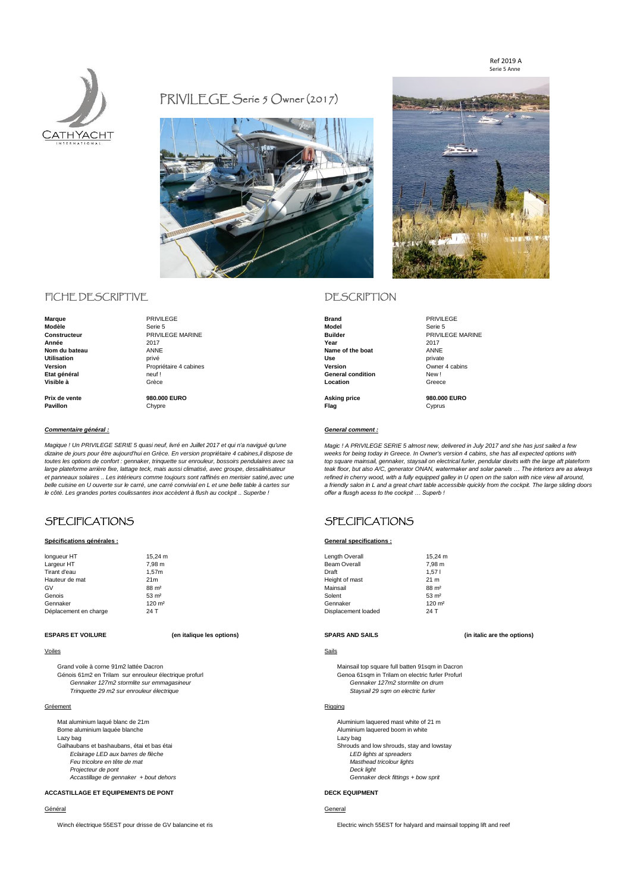



# PRIVII FGF Serie 5 Owner (2017)





# FICHE DESCRIPTIVE DESCRIPTION

**Marque** PRIVILEGE **Brand** PRIVILEGE **Modèle** Serie 5 **Model** Serie 5 **Constructeur** PRIVILEGE MARINE **Builder** PRIVILEGE MARINE **Année** 2017 **Year** 2017 **Nom du bateau ANNE** ANNE ANNE ANNE AND ANNE AND A RESERVE ANNE ANNE ANNE **Utilisation** privé **Use** private **Version Christian Christian Christian Propriétaire 4 cabines <b>Version** Version Christian Commer 4 cabins **Christian Christian Christian Christian Christian Christian Christian Christian Christian Christian Christian Chris Etat général** neuf ! **General condition** New ! **Visible à** Grèce **Location** Greece

**Pavillon** Chypre Chypre **Flag** Chypre Chypre Channel Channel Channel Channel Channel Channel Channel Channel Channel Channel Channel Channel Channel Channel Channel Channel Channel Channel Channel Channel Channel Channel

### *Commentaire général : General comment :*

*Magique ! Un PRIVILEGE SERIE 5 quasi neuf, livré en Juillet 2017 et qui n'a navigué qu'une Magic ! A PRIVILEGE SERIE 5 almost new, delivered in July 2017 and she has just sailed a few dizaine de jours pour être aujourd'hui en Grèce. En version propriétaire 4 cabines,il dispose de weeks for being today in Greece. In Owner's version 4 cabins, she has all expected options with le côté. Les grandes portes coulissantes inox accèdent à flush au cockpit .. Superbe !* 

## **Spécifications générales : General specifications :**

| longueur HT           |   |
|-----------------------|---|
| Largeur HT            | 7 |
| Tirant d'eau          | 1 |
| Hauteur de mat        | 2 |
| GV                    | 8 |
| Genois                | 5 |
| Gennaker              | 1 |
| Déplacement en charge | 2 |

## **ESPARS ET VOILURE (en italique les options) SPARS AND SAILS (in italic are the options)**

### <u>Voiles</u> Sails and Sails and Sails and Sails and Sails and Sails and Sails and Sails and Sails and Sails and Sails

Grand voile à corne 91m2 lattée Dacron et al. et al. et al. et al. et al. et al. et al. et al. et al. et al. et a

*Gennaker 127m2 stormlite sur emmagasineur Gennaker 127m2 stormlite on drum Trinquette 29 m2 sur enrouleur électrique Staysail 29 sqm on electric furler*

### **Gréement** Rigging

Mat aluminium laqué blanc de 21m **Aluminium laquered mast white of 21 m** Aluminium laquered mast white of 21 m Bome aluminium laquée blanche and the Aluminium laquered boom in white and the Aluminium laquered boom in white<br>Aluminium laquered boom in white and the Aluminium large boom in white and the Aluminium large boom in white Lazy bag Lazy bag *Eclairage LED aux barres de flèche LED lights at spreaders Feu tricolore en tête de mat Masthead tricolour lights Accastillage de gennaker + bout dehors Gennaker deck fittings + bow sprit*

### **ACCASTILLAGE ET EQUIPEMENTS DE PONT DECK EQUIPMENT**

### Général General

Winch électrique 55EST pour drisse de GV balancine et ris entre et ris Electric winch 55EST for halyard and mainsail topping lift and reef

**Prix de vente 980.000 EURO Asking price 980.000 EURO**

toutes les options de confort : gennaker, trinquette sur enrouleur, bossoirs pendulaires avec sa<br>large plateforme arrière fixe, lattage teck, mais aussi climatisé, avec groupe, dessalinisateur deak floor, but also A/C, gen *large plateforme arrière fixe, lattage teck, mais aussi climatisé, avec groupe, dessalinisateur teak floor, but also A/C, generator ONAN, watermaker and solar panels … The interiors are as always* et panneaux solaires .. Les intérieurs comme toujours sont raffinés en merisier satiné,avec une<br>
belle cuisine en U ouverte sur le carré, une carré convivial en L et une belle table à cartes sur a friendly salon in L and a *belle cuisine en U ouverte sur le carré, une carré convivial en L et une belle table à cartes sur a friendly salon in L and a great chart table accessible quickly from the cockpit. The large sliding doors*

# SPECIFICATIONS SPECIFICATIONS

| longueur HT           | 15.24 m             | Length Overall      | 15.24 m            |
|-----------------------|---------------------|---------------------|--------------------|
| Largeur HT            | 7.98 m              | Beam Overall        | 7.98 m             |
| Tirant d'eau          | 1.57m               | Draft               | 1.571              |
| Hauteur de mat        | 21 <sub>m</sub>     | Height of mast      | 21 <sub>m</sub>    |
| G٧                    | 88 m <sup>2</sup>   | Mainsail            | 88 m <sup>2</sup>  |
| Genois                | $53 \text{ m}^2$    | Solent              | $53 \text{ m}^2$   |
| Gennaker              | $120 \; \text{m}^2$ | Gennaker            | 120 m <sup>2</sup> |
| Déplacement en charge | 24 T                | Displacement loaded | 24 T               |

Génois 61m2 en Trilam sur enrouleur électrique profurl Centre de Company de la Cence 61sqm in Trilam on electric furler Profurl

Galhaubans et bashaubans, étai et bas étai state d'alience de la conservation de la conservation de Shrouds and low shrouds, stay and lowstay<br>Eclairage LED aux barres de flèche state de la conservation de la conservation d *Projecteur de pont Deck light*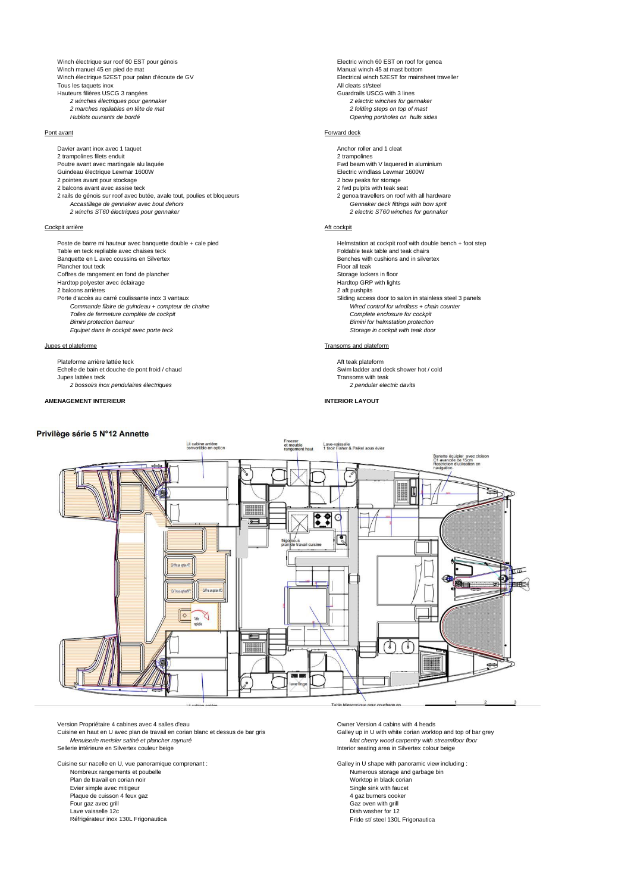Winch électrique sur roof 60 EST pour génois<br>
Winch manuel 45 en pied de mat<br>
Winch manuel 45 en pied de mat Winch manuel 45 en pied de mat<br>
Winch manuel 45 en pied de mat<br>
Winch électrique 52EST pour palan d'écoute de GV<br>
Manual winch 52EST for mainsheet traveller Winch électrique 52EST pour palan d'écoute de GV<br>
Tous les taquets inox<br>
Tous les taquets inox Tous les taquets inox and the state of the state of the state of the state of the state of the state of the state of the state of the state of the state of the state of the state of the state of the state of the state of t Hauteurs filières USCG 3 rangées<br>Hauteurs filières USCG 3 rangées<br>2 winches électriques pour gennaker<br>2 electric winches for gennaker *2 winches électriques pour gennaker 2 electric winches for gennaker 2 marches repliables en tête de mat 2 folding steps on top of mast*

Davier avant inox avec 1 taquet and 1 cleat and 1 cleat Anchor roller and 1 cleat Anchor roller and 1 cleat and 1 cleat 2 trampolines 2 trampolines filets enduit<br>2 trampolines filets enduit entrepreneurs and the comparison of the comparison of the Police of The Police Pol<br>2 trampolines filets enduited by the Police of The Police of The Police of The Poli Poutre avant avec martingale alu laquée **Francisco et au contre avant avec martingale** aluminium avec martingale alu<br>
Poutre avant avec martingale alu laquée **Francisco et au contre avant avec martinium** Electric windlass Guindeau électrique Lewmar 1600W 2 pointes avant pour stockage 2 bow peaks for storage 2 balcons avant avec assise teck<br>2 fails de génois sur roof avec butée, avale tout, poulies et bloqueurs<br>2 genoa travellers on roof with all hardware 2 rails de génois sur roof avec butée, avale tout, poulies et bloqueurs *Accastillage de gennaker avec bout dehors Gennaker deck fittings with bow sprit 2 winchs ST60 électriques pour gennaker 2 electric ST60 winches for gennaker*

### Cockpit arrière Aft cockpit arrière de la controlle de la cockpit de la cockpit de la cockpit de la cockpit de la cockpit de la cockpit de la cockpit de la cockpit de la cockpit de la cockpit de la cockpit de la cockpit de

Poste de barre mi hauteur avec banquette double + cale pied Network Chaises and Helmstation at cockpit roof with double bench + foot step<br>Table en teck repliable avec chaises teck Network of the pied Network of Table and t Banquette en L avec coussins en Silvertex **Benches with cushions and in silvertex** Benches with cushions and in silvertex Plancher tout teck Floor all teak Coffres de rangement en fond de plancher en fond to the storage lockers in floor<br>
Hardtop polyester avec éclairage en fond the storage lockers in floor<br>
Hardtop GRP with lights Hardtop polyester avec éclairage 2 balcons arrières 2 aft pushpits<br>
Porte d'accès au carré coulissante inox 3 vantaux<br>
2 partier de l'accès du carré coulissante inox 3 vantaux *Commande filaire de guindeau + compteur de chaine Wired control for windlass + chain counter Toiles de fermeture complète de cockpit Complete enclosure for cockpit Equipet dans le cockpit avec porte teck Storage in cockpit with teak door*

Plateforme arrière lattée teck<br>
Plateforme arrière lattée teck Aft teak plateform<br>
Plateforme arrière tensor is a supportented by the state of cold Echelle de bain et douche de pont froid / chaud<br>Echelle de bain et douche de pont froid / chaud<br>Jupes lattées teck Stransoms with teak Jupes lattées teck *2 bossoirs inox pendulaires électriques 2 pendular electric davits*

## **AMENAGEMENT INTERIEUR INTERIOR LAYOUT**

### Privilège série 5 N°12 Annette

*Hublots ouvrants de bordé Opening portholes on hulls sides*

### Pont avant Forward deck and the second second second second second second second second second second second second second second second second second second second second second second second second second second second s

Porte designed access door to salon in stainless steel 3 panels<br>Wired control for windlass + chain counter *Bimini protection barreur Bimini for helmstation protection*

### Jupes et plateforme **Transoms and plateform Transoms and plateform**



Version Propriétaire 4 cabines avec 4 salles d'eau<br>Cuisine en haut en U avec plan de travail en corian blanc et dessus de bar gris Calley up in U with white corian worktop and top of bar grey Cuisine en haut en U avec plan de travail en corian blanc et dessus de bar gris Menuiserie merisier satiné et plancher raynuré *Menuiserie merisier satiné et plancher raynuré Mat cherry wood carpentry with streamfloor floor*

Cuisine sur nacelle en U, vue panoramique comprenant : Galley in U shape with panoramic view including : Nombreux rangements et poubelle and the Numerous storage and garbage bin<br>
Plan de travail en corian noir and the Numerous storage and garbage bin<br>
Worktop in black corian Plan de travail en corian noir Evier simple avec mitigeur and the single sink with faucet of the single sink with faucet of the single sink with faucet<br>Plaque de cuisson 4 feux gaz de la cooker and the single sink with faucet of the single sink with fau Four gaz avec grill Gaz over with grill Gaz over with grill Gaz over with grill Gaz over with grill Gaz over with grill Gaz over with grill Gaz over with grill Gaz over with grill Gaz over with grill Gaz over with grill Ga Lave vaisselle 12c<br>Réfrigérateur inox 130L Frigonautica de la comme de la comme de la comme de la comme de la comme de la comme d<br>Principal de la comme de la comme de la comme de la comme de la comme de la comme de la comm Réfrigérateur inox 130L Frigonautica

Interior seating area in Silvertex colour beige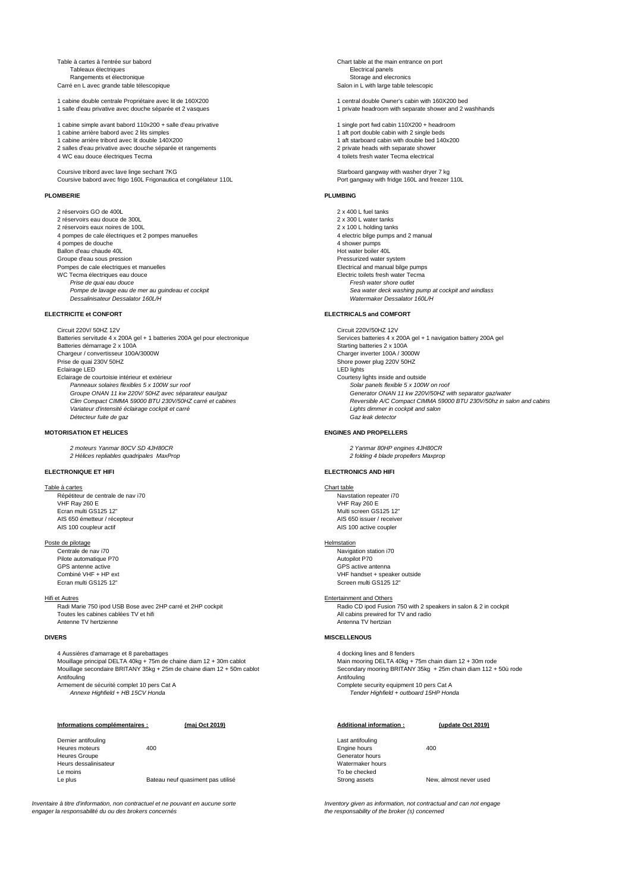Table à cartes à l'entrée sur babord Chart table at the main entrance on port Tableaux électriques<br>
Rangements et électronique<br>
Rangements et électronique Carré en L avec grande table télescopique

1 cabine double centrale Propriétaire avec lit de 160X200<br>1 salle d'eau privative avec douche séparée et 2 vasques<br>1 salle d'eau privative avec douche séparée et 2 vasques

- 1 cabine simple avant babord 110x200 + salle d'eau privative 1 single 1 single port fwd cabin 110X200 + headroo<br>1 single port fwd avec 2 lits simples 1 single beds<br>1 aft port double cabin with 2 single beds
- 1 cabine arrière babord avec 2 lits simples
- 1 cabine arrière tribord avec lit double 140X200<br>2 salles d'eau privative avec douche séparée et rangements de la comme de la comme de la private heads with separate shower
- 2 salles d'eau privative avec douche séparée et rangements<br>4 WC eau douce électriques Tecma

Coursive tribord avec lave linge sechant 7KG<br>Coursive babord avec frigo 160L Frigonautica et congélateur 110L<br>
Coursive babord avec frigo 160L Frigonautica et congélateur 110L<br>
Starboard gangway with fridge 160L and freeze Coursive babord avec frigo 160L Frigonautica et congélateur 110L

### **PLOMBERIE PLUMBING**

2 réservoirs GO de 400L<br>
2 réservoirs eau douce de 300L<br>
2 x 300 L water tanks 2 réservoirs eau douce de 300L<br>2 x 300 L water tanks<br>2 x 100 L holding tanks 2 x 100 L holding tanks 2 réservoirs eaux noires de 100L<br>4 pompes de cale électriques et 2 pompes manuelles<br>2 x 100 L holding tanks and 2 manual 4 pompes de cale électriques et 2 pompes manuelles 4 electric bilge pumps and 2 manual electric bilge pumps and 2 manual electric bilge pumps and 2 manual electric bilge pumps and 2 manual electric bilge pumps and 2 manual 4 pompes de douche de douche de la competition de la competition de la competition de la competition de la competition de la competition de la competition de la competition de la competition de la competition de la competi Ballon d'eau chaude 40L<br>
Groupe d'eau sous pression est en la reconnu de la proponent de la reconnu de la reconnu de la reconnu de la r<br>
Pressurized water system Groupe d'eau sous pression<br>
Possurized water system<br>
Pompes de cale electriques et manuelles Pompes de cale electriques et manuelles<br>
VC Tecma électriques eau douce<br>
VC Tecma électriques eau douce<br>
Electric toilets fresh water Tecma WC Tecma électriques eau douce<br>
Prise de quai eau douce *Dessalinisateur Dessalator 160L/H Watermaker Dessalator 160L/H*

### **ELECTRICITE et CONFORT ELECTRICALS and COMFORT**

Circuit 220V/ 50HZ 12V Circuit 220V/50HZ 12V Batteries servitude 4 x 200A gel + 1 batteries 200A gel pour electronique<br>Batteries démarrage 2 x 100A<br>Starting batteries 2 x 100A Chargeur / convertisseur 100A/3000W Prise de quai 230V 50HZ<br>Eclairage LED<br>Eclairage LED Eclairage LED<br>
Eclairage de courtoisie intérieur et extérieur<br>
Eclairage de courtoisie intérieur et extérieur<br>
Courtesy lights inside and outside Eclairage de courtoisie intérieur et extérieur<br>
Panneaux solaires flexibles 5 x 100W sur roof<br>
Panneaux solaires flexible 5 x 100W sur roof *Panneaux solaires flexibles 5 x 100W sur roof Solar panels flexible 5 x 100W on roof Groupe ONAN 11 kw 220V/ 50HZ avec séparateur eau/gaz Generator ONAN 11 kw 220V/50HZ with separator gaz/water Variateur d'intensité éclairage cockpit et carré Lights dimmer in cockpit and salon Détecteur fuite de gaz* 

### **MOTORISATION ET HELICES ENGINES AND PROPELLERS**

*2 moteurs Yanmar 80CV SD 4JH80CR 2 Yanmar 80HP engines 4JH80CR 2 Hélices repliables quadripales MaxProp 2 folding 4 blade propellers Maxprop*

## **ELECTRONIQUE ET HIFI ELECTRONICS AND HIFI**

Table à cartes<br>
Répétiteur de centrale de nav i70<br>
Répétiteur de centrale de nav i70 Répétiteur de centrale de nav i70  $\overline{R}$  Navstation repeater in the Navstation repeater in the Navstation repeater in the Navstation repeater in the Navstation repeater in the Navstation repeater in the Navstation repeat VHF Ray 260 E<br>Ecran multi GS125 12" AIS 650 émetteur / récepteur and the second text of the second text of the South AIS 650 issuer / receiver AIS<br>AIS 100 coupleur actif

Poste de pilotage **Helmstation**<br>Centrale de nav i70 **Maximum Centrale de nav i70** Naviga Pilote automatique P70<br>GPS antenne active GPS antenne active CPS active antenna computer of the GPS active antenna computer antenna computer antenna computer antenna computer antenna computer antenna computer antenna computer antenna computer antenna computer and

Hifi et Autres Entertainment and Others Antenne TV hertzienne Antenne Antenne Antenne Antenne Antenne Antenne Antenne TV hertzian

4 Aussières d'amarrage et 8 parebattages<br>Mouillage principal DELTA 40kg + 75m de chaine diam 12 + 30m cablot Main mooring DELTA 40kg + 75m chain diam 12 + 30m rode Mouillage secondaire BRITANY 35kg + 25m de chaine diam 12 + 50m cablot Secondary mooring BRITANY 35kg + 25m chain diam 112 + 50ù rode Antifouling Antifouling Antifouling Antifouling Antifouling Antifouling Antifouling Antifouling Armement de sécurité complet 10 pers Cat A<br>Annexe Highfield + HB 15CV Honda<br>Tender Highfield + outboard 15HP Hon

### **Informations complémentaires : (maj Oct 2019) Additional information : (update Oct 2019)**

| Dernier antifouling   |                                   | Last antifouling |     |
|-----------------------|-----------------------------------|------------------|-----|
| Heures moteurs        | 400                               |                  | 400 |
|                       |                                   | Engine hours     |     |
| <b>Heures Groupe</b>  |                                   | Generator hours  |     |
| Heurs dessalinisateur |                                   | Watermaker hours |     |
| Le moins              |                                   | To be checked    |     |
| Le plus               | Bateau neuf quasiment pas utilisé | Strong assets    | Ney |

*Inventaire à titre d'information, non contractuel et ne pouvant en aucune sorte Inventory given as information, not contractual and can not engage engager la responsabilité du ou des brokers concernés the responsability of the broker (s) concerned*

recomments et électronique<br>
Rangements et électronique<br>
Storage and elecronics<br>
Salon in L with large table telescopicue<br>
Salon in L with large table telescopic

1 private headroom with separate shower and 2 washhands

- 
- 
- 
- 4 toilets fresh water Tecma electrical

*Prise de quai eau douce Fresh water shore outlet Pompe de lavage eau de mer au guindeau et cockpit Sea water deck washing pump at cockpit and windlass*

Starting batteries 2 x 100A<br>Charger inverter 100A / 3000W *Clim Compact CIMMA 59000 BTU 230V/50HZ carré et cabines Reversible A/C Compact CIMMA 59000 BTU 230V/50hz in salon and cabins*

Multi screen GS125 12" AIS 100 active coupler

Navigation station i70<br>Autopilot P70 VHF handset + speaker outside Ecran multi GS125 12" Screen multi GS125 12"

Radi Marie 750 ipod USB Bose avec 2HP carré et 2HP cockpit Notes and All cabins De Radio CD ipod Fusion 750 with 2 speakers in salon & 2 in cockpit<br>Toutes les cabines cablées TV et hifi Notes and the Cockpit Notes and All

### **DIVERS MISCELLENOUS**

*Annexe Highfield + outboard 15HP Honda* 

# Generator hours watermaker hours To be checked<br>
as utilisé<br>
Strong assets Strong assets New, almost never used